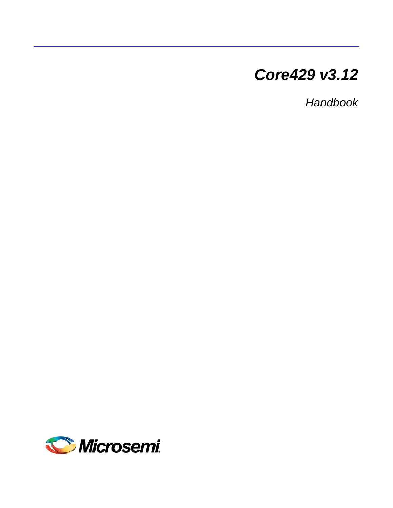# *Core429 v3.12*

*Handbook*

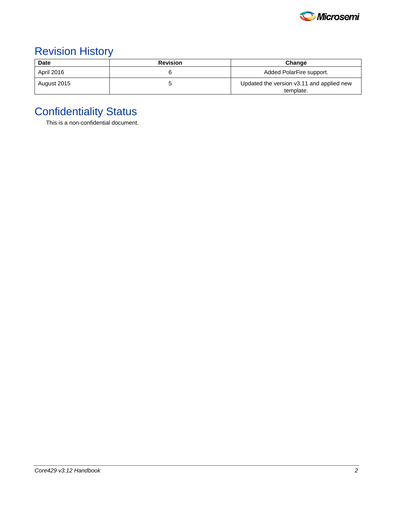

# Revision History

| <b>Date</b> | <b>Revision</b> | Change                                                 |
|-------------|-----------------|--------------------------------------------------------|
| April 2016  |                 | Added PolarFire support.                               |
| August 2015 |                 | Updated the version v3.11 and applied new<br>template. |

# Confidentiality Status

This is a non-confidential document.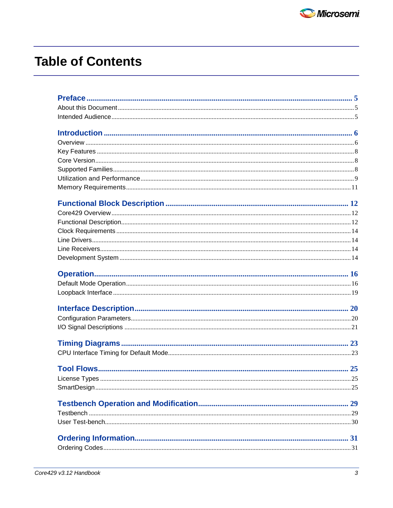# **Table of Contents**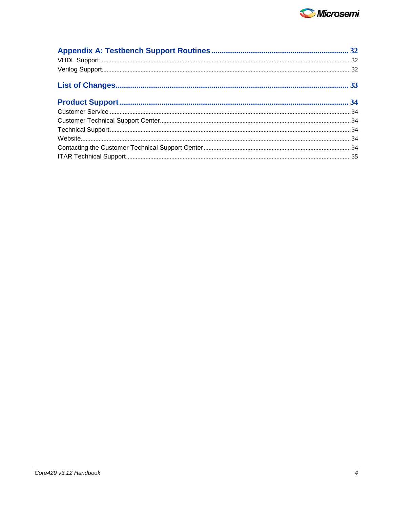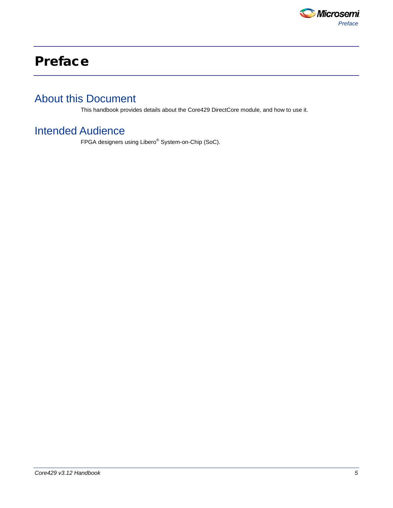

# <span id="page-4-0"></span>Preface

## <span id="page-4-1"></span>About this Document

This handbook provides details about the Core429 DirectCore module, and how to use it.

## <span id="page-4-2"></span>Intended Audience

FPGA designers using Libero® System-on-Chip (SoC).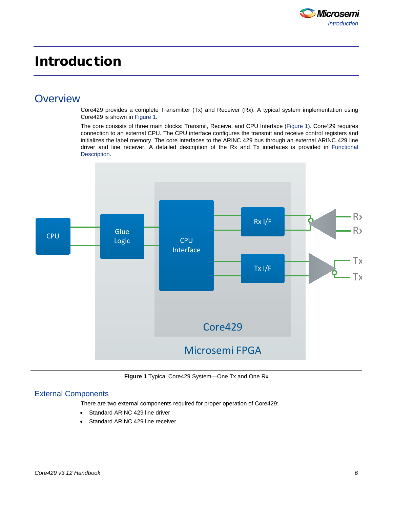

# <span id="page-5-0"></span>Introduction

### <span id="page-5-1"></span>**Overview**

Core429 provides a complete Transmitter (Tx) and Receiver (Rx). A typical system implementation using Core429 is shown in Figure 1.

The core consists of three main blocks: Transmit, Receive, and CPU Interface (Figure 1). Core429 requires connection to an external CPU. The CPU interface configures the transmit and receive control registers and initializes the label memory. The core interfaces to the ARINC 429 bus through an external ARINC 429 line driver and line receiver. A detailed description of the Rx and Tx interfaces is provided in [Functional](#page-11-2)  [Description.](#page-11-2)



**Figure 1** Typical Core429 System—One Tx and One Rx

#### External Components

There are two external components required for proper operation of Core429:

- Standard ARINC 429 line driver
- Standard ARINC 429 line receiver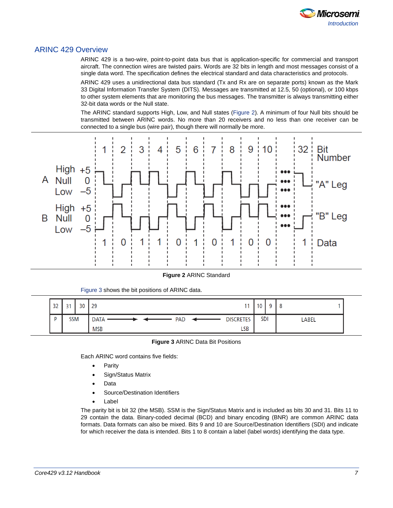

#### ARINC 429 Overview

ARINC 429 is a two-wire, point-to-point data bus that is application-specific for commercial and transport aircraft. The connection wires are twisted pairs. Words are 32 bits in length and most messages consist of a single data word. The specification defines the electrical standard and data characteristics and protocols.

ARINC 429 uses a unidirectional data bus standard (Tx and Rx are on separate ports) known as the Mark 33 Digital Information Transfer System (DITS). Messages are transmitted at 12.5, 50 (optional), or 100 kbps to other system elements that are monitoring the bus messages. The transmitter is always transmitting either 32-bit data words or the Null state.

The ARINC standard supports High, Low, and Null states (Figure 2). A minimum of four Null bits should be transmitted between ARINC words. No more than 20 receivers and no less than one receiver can be connected to a single bus (wire pair), though there will normally be more.



**Figure 2** ARINC Standard

| 32 | $\bigcap$<br>پ | 30 | 29                        |                  | 10<br>v    |              |
|----|----------------|----|---------------------------|------------------|------------|--------------|
| D  | <b>SSM</b>     |    | <b>DATA</b><br><b>PAD</b> | <b>DISCRETES</b> | <b>SDI</b> | <b>LABEL</b> |
|    |                |    | <b>MSB</b>                | <b>LSB</b>       |            |              |

**Figure 3** ARINC Data Bit Positions

Each ARINC word contains five fields:

Figure 3 shows the bit positions of ARINC data.

- **Parity**
- Sign/Status Matrix
- Data
- Source/Destination Identifiers
- Label

The parity bit is bit 32 (the MSB). SSM is the Sign/Status Matrix and is included as bits 30 and 31. Bits 11 to 29 contain the data. Binary-coded decimal (BCD) and binary encoding (BNR) are common ARINC data formats. Data formats can also be mixed. Bits 9 and 10 are Source/Destination Identifiers (SDI) and indicate for which receiver the data is intended. Bits 1 to 8 contain a label (label words) identifying the data type.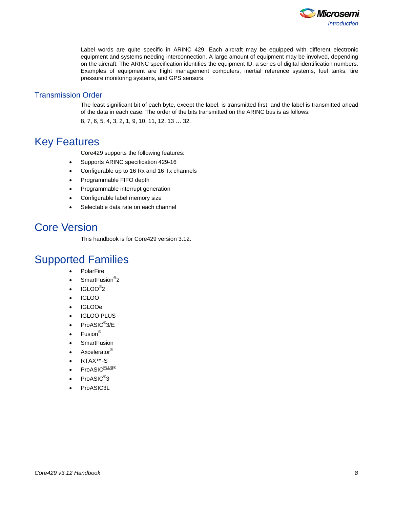

Label words are quite specific in ARINC 429. Each aircraft may be equipped with different electronic equipment and systems needing interconnection. A large amount of equipment may be involved, depending on the aircraft. The ARINC specification identifies the equipment ID, a series of digital identification numbers. Examples of equipment are flight management computers, inertial reference systems, fuel tanks, tire pressure monitoring systems, and GPS sensors.

#### Transmission Order

The least significant bit of each byte, except the label, is transmitted first, and the label is transmitted ahead of the data in each case. The order of the bits transmitted on the ARINC bus is as follows:

8, 7, 6, 5, 4, 3, 2, 1, 9, 10, 11, 12, 13 … 32.

### <span id="page-7-0"></span>Key Features

Core429 supports the following features:

- Supports ARINC specification 429-16
- Configurable up to 16 Rx and 16 Tx channels
- Programmable FIFO depth
- Programmable interrupt generation
- Configurable label memory size
- Selectable data rate on each channel

## <span id="page-7-1"></span>Core Version

This handbook is for Core429 version 3.12.

### <span id="page-7-2"></span>Supported Families

- **PolarFire**
- SmartFusion<sup>®</sup>2
- $IGLOO^@2$
- IGLOO
- IGLOOe
- IGLOO PLUS
- ProASIC<sup>®</sup>3/E
- $\bullet$  Fusion<sup>®</sup>
- SmartFusion
- Axcelerator<sup>®</sup>
- RTAX™-S
- ProASIC<sup>PLUS®</sup>
- ProASIC<sup>®</sup>3
- ProASIC3L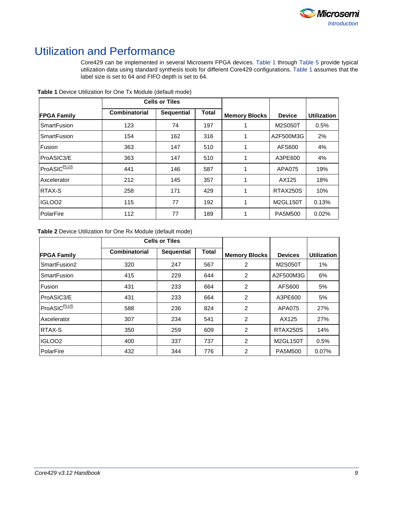

## <span id="page-8-0"></span>Utilization and Performance

Core429 can be implemented in several Microsemi FPGA devices. [Table 1](#page-8-1) through [Table 5](#page-9-0) provide typical utilization data using standard synthesis tools for different Core429 configurations. [Table 1](#page-8-1) assumes that the label size is set to 64 and FIFO depth is set to 64.

|                         |               | <b>Cells or Tiles</b> |              |                      |               |                    |
|-------------------------|---------------|-----------------------|--------------|----------------------|---------------|--------------------|
| <b>FPGA Family</b>      | Combinatorial | <b>Sequential</b>     | <b>Total</b> | <b>Memory Blocks</b> | <b>Device</b> | <b>Utilization</b> |
| <b>SmartFusion</b>      | 123           | 74                    | 197          |                      | M2S050T       | 0.5%               |
| <b>SmartFusion</b>      | 154           | 162                   | 316          |                      | A2F500M3G     | 2%                 |
| Fusion                  | 363           | 147                   | 510          |                      | AFS600        | 4%                 |
| ProASIC3/E              | 363           | 147                   | 510          |                      | A3PE600       | 4%                 |
| ProASIC <sup>PLUS</sup> | 441           | 146                   | 587          |                      | APA075        | 19%                |
| Axcelerator             | 212           | 145                   | 357          |                      | AX125         | 18%                |
| <b>RTAX-S</b>           | 258           | 171                   | 429          |                      | RTAX250S      | 10%                |
| IGLOO <sub>2</sub>      | 115           | 77                    | 192          |                      | M2GL150T      | 0.13%              |
| PolarFire               | 112           | 77                    | 189          |                      | PA5M500       | 0.02%              |

<span id="page-8-1"></span>**Table 1** Device Utilization for One Tx Module (default mode)

<span id="page-8-2"></span>**Table 2** Device Utilization for One Rx Module (default mode)

<span id="page-8-3"></span>

|                         | <b>Cells or Tiles</b> |                   |              |                      |                |                    |
|-------------------------|-----------------------|-------------------|--------------|----------------------|----------------|--------------------|
| <b>FPGA Family</b>      | Combinatorial         | <b>Sequential</b> | <b>Total</b> | <b>Memory Blocks</b> | <b>Devices</b> | <b>Utilization</b> |
| SmartFusion2            | 320                   | 247               | 567          | 2                    | M2S050T        | $1\%$              |
| <b>SmartFusion</b>      | 415                   | 229               | 644          | 2                    | A2F500M3G      | 6%                 |
| Fusion                  | 431                   | 233               | 664          | 2                    | AFS600         | 5%                 |
| ProASIC3/E              | 431                   | 233               | 664          | 2                    | A3PE600        | 5%                 |
| ProASIC <sup>PLUS</sup> | 588                   | 236               | 824          | 2                    | APA075         | 27%                |
| Axcelerator             | 307                   | 234               | 541          | 2                    | AX125          | 27%                |
| <b>RTAX-S</b>           | 350                   | 259               | 609          | 2                    | RTAX250S       | 14%                |
| IIGLOO2                 | 400                   | 337               | 737          | 2                    | M2GL150T       | 0.5%               |
| PolarFire               | 432                   | 344               | 776          | 2                    | PA5M500        | 0.07%              |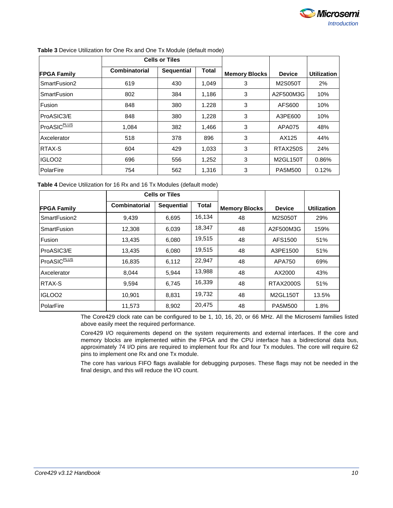

|                         |               | <b>Cells or Tiles</b> |       |                      |               |                    |
|-------------------------|---------------|-----------------------|-------|----------------------|---------------|--------------------|
| <b>FPGA Family</b>      | Combinatorial | <b>Sequential</b>     | Total | <b>Memory Blocks</b> | <b>Device</b> | <b>Utilization</b> |
| SmartFusion2            | 619           | 430                   | 1,049 | 3                    | M2S050T       | 2%                 |
| <b>SmartFusion</b>      | 802           | 384                   | 1.186 | 3                    | A2F500M3G     | 10%                |
| Fusion                  | 848           | 380                   | 1.228 | 3                    | AFS600        | 10%                |
| ProASIC3/E              | 848           | 380                   | 1,228 | 3                    | A3PE600       | 10%                |
| ProASIC <sup>PLUS</sup> | 1.084         | 382                   | 1,466 | 3                    | <b>APA075</b> | 48%                |
| Axcelerator             | 518           | 378                   | 896   | 3                    | AX125         | 44%                |
| <b>RTAX-S</b>           | 604           | 429                   | 1,033 | 3                    | RTAX250S      | 24%                |
| IGLOO2                  | 696           | 556                   | 1,252 | 3                    | M2GL150T      | 0.86%              |
| PolarFire               | 754           | 562                   | 1,316 | 3                    | PA5M500       | 0.12%              |

#### **Table 3** Device Utilization for One Rx and One Tx Module (default mode)

<span id="page-9-1"></span>**Table 4** Device Utilization for 16 Rx and 16 Tx Modules (default mode)

|                         |               | <b>Cells or Tiles</b> |        |                      |                  |                    |
|-------------------------|---------------|-----------------------|--------|----------------------|------------------|--------------------|
| <b>FPGA Family</b>      | Combinatorial | <b>Sequential</b>     | Total  | <b>Memory Blocks</b> | <b>Device</b>    | <b>Utilization</b> |
| SmartFusion2            | 9,439         | 6,695                 | 16,134 | 48                   | M2S050T          | 29%                |
| <b>SmartFusion</b>      | 12,308        | 6,039                 | 18,347 | 48                   | A2F500M3G        | 159%               |
| Fusion                  | 13,435        | 6,080                 | 19,515 | 48                   | AFS1500          | 51%                |
| ProASIC3/E              | 13,435        | 6,080                 | 19,515 | 48                   | A3PE1500         | 51%                |
| ProASIC <sup>PLUS</sup> | 16,835        | 6,112                 | 22,947 | 48                   | APA750           | 69%                |
| Axcelerator             | 8,044         | 5,944                 | 13,988 | 48                   | AX2000           | 43%                |
| <b>RTAX-S</b>           | 9,594         | 6,745                 | 16,339 | 48                   | <b>RTAX2000S</b> | 51%                |
| IGLOO <sub>2</sub>      | 10,901        | 8,831                 | 19,732 | 48                   | M2GL150T         | 13.5%              |
| PolarFire               | 11,573        | 8,902                 | 20,475 | 48                   | PA5M500          | 1.8%               |

<span id="page-9-0"></span>The Core429 clock rate can be configured to be 1, 10, 16, 20, or 66 MHz. All the Microsemi families listed above easily meet the required performance.

Core429 I/O requirements depend on the system requirements and external interfaces. If the core and memory blocks are implemented within the FPGA and the CPU interface has a bidirectional data bus, approximately 74 I/O pins are required to implement four Rx and four Tx modules. The core will require 62 pins to implement one Rx and one Tx module.

The core has various FIFO flags available for debugging purposes. These flags may not be needed in the final design, and this will reduce the I/O count.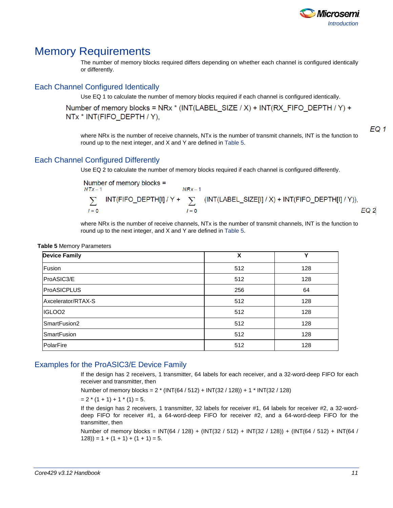

### <span id="page-10-0"></span>Memory Requirements

The number of memory blocks required differs depending on whether each channel is configured identically or differently.

### Each Channel Configured Identically

Use [EQ 1](#page-9-1) to calculate the number of memory blocks required if each channel is configured identically.

Number of memory blocks = NRx \* (INT(LABEL\_SIZE / X) + INT(RX\_FIFO\_DEPTH / Y) + NTx \* INT(FIFO DEPTH / Y),

<span id="page-10-2"></span>EQ 1

where NR<sub>x</sub> is the number of receive channels, NT<sub>x</sub> is the number of transmit channels. INT is the function to round up to the next integer, and X and Y are defined in [Table 5.](#page-10-1)

#### Each Channel Configured Differently

Use EQ 2 to calculate the number of memory blocks required if each channel is configured differently.

Number of memory blocks =  
\n
$$
\sum_{i=0}^{NRx-1}
$$
\n
$$
\sum_{i=0}^{NRx-1}
$$
\n
$$
\sum_{i=0}^{NRx-1}
$$
\n
$$
\sum_{i=0}^{NRx-1}
$$
\n
$$
\sum_{i=0}^{NRx-1}
$$
\n
$$
\sum_{i=0}^{NRx-1}
$$
\n
$$
\sum_{i=0}^{NRx-1}
$$
\n
$$
\sum_{i=0}^{NRx-1}
$$
\n
$$
\sum_{i=0}^{NRx-1}
$$

where NR<sub>x</sub> is the number of receive channels, NT<sub>x</sub> is the number of transmit channels. INT is the function to round up to the next integer, and X and Y are defined in [Table 5.](#page-10-1)

<span id="page-10-1"></span>

|  |  | <b>Table 5 Memory Parameters</b> |
|--|--|----------------------------------|
|--|--|----------------------------------|

| <b>Device Family</b> | X   | v   |
|----------------------|-----|-----|
| Fusion               | 512 | 128 |
| ProASIC3/E           | 512 | 128 |
| <b>ProASICPLUS</b>   | 256 | 64  |
| Axcelerator/RTAX-S   | 512 | 128 |
| IGLOO <sub>2</sub>   | 512 | 128 |
| SmartFusion2         | 512 | 128 |
| SmartFusion          | 512 | 128 |
| PolarFire            | 512 | 128 |

#### Examples for the ProASIC3/E Device Family

If the design has 2 receivers, 1 transmitter, 64 labels for each receiver, and a 32-word-deep FIFO for each receiver and transmitter, then

Number of memory blocks = 2 \* (INT(64 / 512) + INT(32 / 128)) + 1 \* INT(32 / 128)

 $= 2 * (1 + 1) + 1 * (1) = 5.$ 

If the design has 2 receivers, 1 transmitter, 32 labels for receiver #1, 64 labels for receiver #2, a 32-worddeep FIFO for receiver #1, a 64-word-deep FIFO for receiver #2, and a 64-word-deep FIFO for the transmitter, then

Number of memory blocks =  $INT(64 / 128) + (INT(32 / 512) + INT(32 / 128)) + (INT(64 / 512) + INT(64 / 128))$  $(128)$ ) = 1 +  $(1 + 1)$  +  $(1 + 1)$  = 5.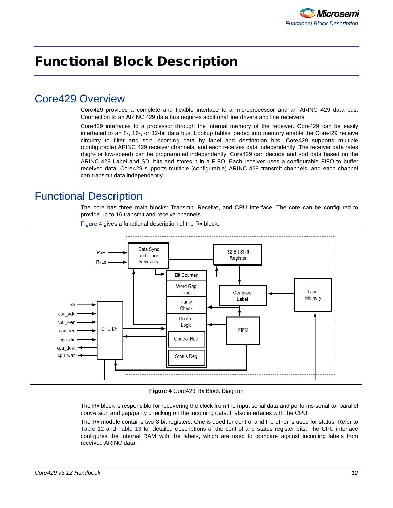# <span id="page-11-0"></span>Functional Block Description

### <span id="page-11-1"></span>Core429 Overview

Core429 provides a complete and flexible interface to a microprocessor and an ARINC 429 data bus. Connection to an ARINC 429 data bus requires additional line drivers and line receivers.

Core429 interfaces to a processor through the internal memory of the receiver. Core429 can be easily interfaced to an 8-, 16-, or 32-bit data bus. Lookup tables loaded into memory enable the Core429 receive circuitry to filter and sort incoming data by label and destination bits. Core429 supports multiple (configurable) ARINC 429 receiver channels, and each receives data independently. The receiver data rates (high- or low-speed) can be programmed independently. Core429 can decode and sort data based on the ARINC 429 Label and SDI bits and stores it in a FIFO. Each receiver uses a configurable FIFO to buffer received data. Core429 supports multiple (configurable) ARINC 429 transmit channels, and each channel can transmit data independently.

## <span id="page-11-2"></span>Functional Description

The core has three main blocks: Transmit, Receive, and CPU Interface. The core can be configured to provide up to 16 transmit and receive channels.



Figure 4 gives a functional description of the Rx block.

**Figure 4** Core429 Rx Block Diagram

The Rx block is responsible for recovering the clock from the input serial data and performs serial-to- parallel conversion and gap/parity checking on the incoming data. It also interfaces with the CPU.

The Rx module contains two 8-bit registers. One is used for control and the other is used for status. Refer to [Table 12](#page-16-0) and [Table 13](#page-16-1) for detailed descriptions of the control and status register bits. The CPU interface configures the internal RAM with the labels, which are used to compare against incoming labels from received ARINC data.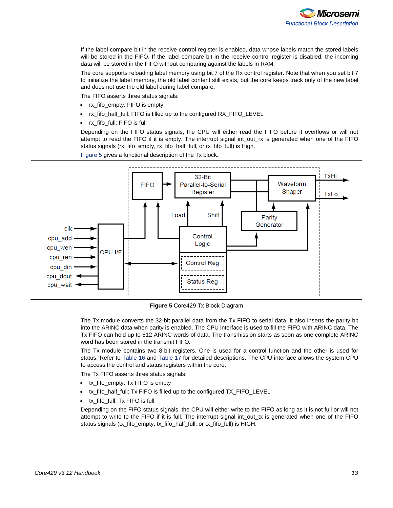

If the label-compare bit in the receive control register is enabled, data whose labels match the stored labels will be stored in the FIFO. If the label-compare bit in the receive control register is disabled, the incoming data will be stored in the FIFO without comparing against the labels in RAM.

The core supports reloading label memory using bit 7 of the Rx control register. Note that when you set bit 7 to initialize the label memory, the old label content still exists, but the core keeps track only of the new label and does not use the old label during label compare.

The FIFO asserts three status signals:

- rx fifo\_empty: FIFO is empty
- rx\_fifo\_half\_full: FIFO is filled up to the configured RX\_FIFO\_LEVEL
- rx\_fifo\_full: FIFO is full

Depending on the FIFO status signals, the CPU will either read the FIFO before it overflows or will not attempt to read the FIFO if it is empty. The interrupt signal int\_out\_rx is generated when one of the FIFO status signals (rx\_fifo\_empty, rx\_fifo\_half\_full, or rx\_fifo\_full) is High.

Figure 5 gives a functional description of the Tx block.



**Figure 5** Core429 Tx Block Diagram

The Tx module converts the 32-bit parallel data from the Tx FIFO to serial data. It also inserts the parity bit into the ARINC data when parity is enabled. The CPU interface is used to fill the FIFO with ARINC data. The Tx FIFO can hold up to 512 ARINC words of data. The transmission starts as soon as one complete ARINC word has been stored in the transmit FIFO.

The Tx module contains two 8-bit registers. One is used for a control function and the other is used for status. Refer to [Table 16](#page-17-0) and [Table 17](#page-17-1) for detailed descriptions. The CPU interface allows the system CPU to access the control and status registers within the core.

The Tx FIFO asserts three status signals:

- tx\_fifo\_empty: Tx FIFO is empty
- tx\_fifo\_half\_full: Tx FIFO is filled up to the configured TX\_FIFO\_LEVEL
- tx\_fifo\_full: Tx FIFO is full

Depending on the FIFO status signals, the CPU will either write to the FIFO as long as it is not full or will not attempt to write to the FIFO if it is full. The interrupt signal int\_out\_tx is generated when one of the FIFO status signals (tx\_fifo\_empty, tx\_fifo\_half\_full, or tx\_fifo\_full) is HIGH.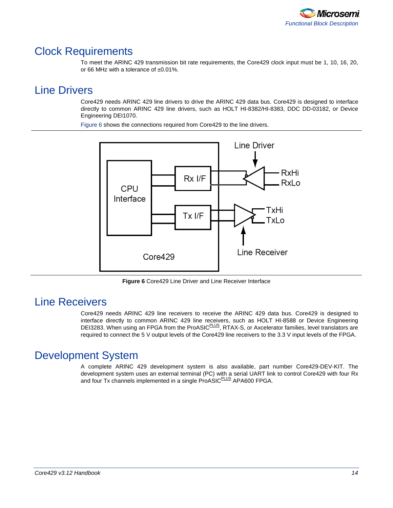

### <span id="page-13-0"></span>Clock Requirements

To meet the ARINC 429 transmission bit rate requirements, the Core429 clock input must be 1, 10, 16, 20, or 66 MHz with a tolerance of ±0.01%.

## <span id="page-13-1"></span>Line Drivers

Core429 needs ARINC 429 line drivers to drive the ARINC 429 data bus. Core429 is designed to interface directly to common ARINC 429 line drivers, such as HOLT HI-8382/HI-8383, DDC DD-03182, or Device Engineering DEI1070.

[Figure 6](#page-13-4) shows the connections required from Core429 to the line drivers.



**Figure 6** Core429 Line Driver and Line Receiver Interface

## <span id="page-13-4"></span><span id="page-13-2"></span>Line Receivers

Core429 needs ARINC 429 line receivers to receive the ARINC 429 data bus. Core429 is designed to interface directly to common ARINC 429 line receivers, such as HOLT HI-8588 or Device Engineering DEI3283. When using an FPGA from the ProASIC<sup>PLUS</sup>, RTAX-S, or Axcelerator families, level translators are required to connect the 5 V output levels of the Core429 line receivers to the 3.3 V input levels of the FPGA.

## <span id="page-13-3"></span>Development System

A complete ARINC 429 development system is also available, part number Core429-DEV-KIT. The development system uses an external terminal (PC) with a serial UART link to control Core429 with four Rx and four Tx channels implemented in a single ProASIC<sup>PLUS</sup> APA600 FPGA.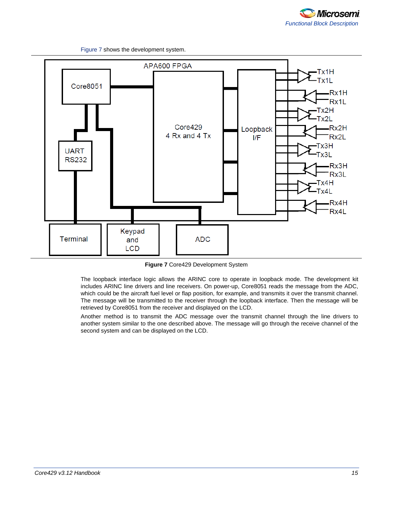Figure 7 shows the development system.



**Figure 7** Core429 Development System

The loopback interface logic allows the ARINC core to operate in loopback mode. The development kit includes ARINC line drivers and line receivers. On power-up, Core8051 reads the message from the ADC, which could be the aircraft fuel level or flap position, for example, and transmits it over the transmit channel. The message will be transmitted to the receiver through the loopback interface. Then the message will be retrieved by Core8051 from the receiver and displayed on the LCD.

Another method is to transmit the ADC message over the transmit channel through the line drivers to another system similar to the one described above. The message will go through the receive channel of the second system and can be displayed on the LCD.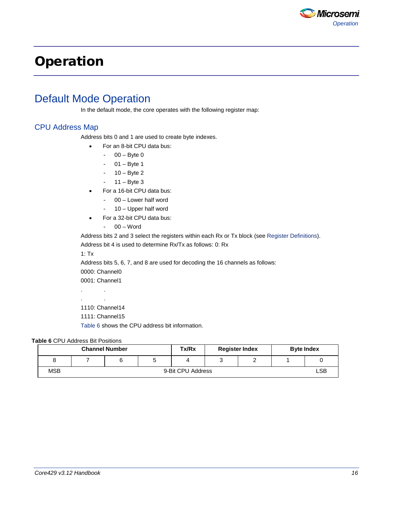

# <span id="page-15-0"></span>Operation

## <span id="page-15-1"></span>Default Mode Operation

In the default mode, the core operates with the following register map:

#### CPU Address Map

Address bits 0 and 1 are used to create byte indexes.

- For an 8-bit CPU data bus:
	- $00 B$ yte 0
		- $01 B$ yte 1
		- 10 Byte 2
		- $11 B$ yte 3
- For a 16-bit CPU data bus:
	- 00 Lower half word
	- 10 Upper half word
- For a 32-bit CPU data bus:
	- 00 Word

Address bits 2 and 3 select the registers within each Rx or Tx block (see [Register Definitions\)](#page-15-2).

Address bit 4 is used to determine Rx/Tx as follows: 0: Rx

1: Tx

Address bits 5, 6, 7, and 8 are used for decoding the 16 channels as follows:

0000: Channel0

0001: Channel1

. . . .

1110: Channel14

1111: Channel15

Table 6 shows the CPU address bit information.

#### **Table 6** CPU Address Bit Positions

<span id="page-15-2"></span>

| <b>Channel Number</b> |                   |  | Tx/Rx | <b>Register Index</b> |  |  | <b>Byte Index</b> |            |
|-----------------------|-------------------|--|-------|-----------------------|--|--|-------------------|------------|
| о                     |                   |  |       |                       |  |  |                   |            |
| MSB                   | 9-Bit CPU Address |  |       |                       |  |  |                   | <b>LSB</b> |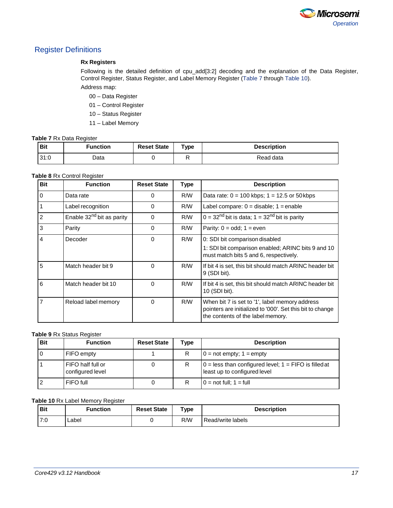

#### Register Definitions

#### **Rx Registers**

Following is the detailed definition of cpu\_add[3:2] decoding and the explanation of the Data Register, Control Register, Status Register, and Label Memory Register [\(Table 7](#page-16-2) through [Table 10\)](#page-16-3). Address map:

- 00 Data Register
- 01 Control Register
- 10 Status Register
- 11 Label Memory

#### <span id="page-16-2"></span>**Table 7** Rx Data Register

<span id="page-16-4"></span>

| <b>Bit</b> | $F$ unction | <b>Reset State</b> | ${\mathsf \tau}_{\mathsf{V}\mathsf{p}\mathsf{e}}$ | <b>Description</b> |
|------------|-------------|--------------------|---------------------------------------------------|--------------------|
| 31:0       | Data        |                    |                                                   | Read data          |

#### <span id="page-16-0"></span>**Table 8** Rx Control Register

<span id="page-16-3"></span>

| <b>Bit</b>     | <b>Function</b>                       | <b>Reset State</b> | <b>Type</b> | <b>Description</b>                                                                                                                               |
|----------------|---------------------------------------|--------------------|-------------|--------------------------------------------------------------------------------------------------------------------------------------------------|
| $\Omega$       | Data rate                             | $\Omega$           | R/W         | Data rate: $0 = 100$ kbps; $1 = 12.5$ or 50 kbps                                                                                                 |
|                | Label recognition                     | $\Omega$           | R/W         | Label compare: $0 =$ disable; $1 =$ enable                                                                                                       |
| 2              | Enable 32 <sup>nd</sup> bit as parity | $\Omega$           | R/W         | $0 = 32nd$ bit is data; $1 = 32nd$ bit is parity                                                                                                 |
| 3              | Parity                                | $\Omega$           | R/W         | Parity: $0 = odd$ ; $1 = even$                                                                                                                   |
| 4              | Decoder                               | $\Omega$           | R/W         | 0: SDI bit comparison disabled<br>1: SDI bit comparison enabled; ARINC bits 9 and 10<br>must match bits 5 and 6, respectively.                   |
| 5              | Match header bit 9                    | $\Omega$           | R/W         | If bit 4 is set, this bit should match ARINC header bit<br>$9$ (SDI bit).                                                                        |
| 6              | Match header bit 10                   | $\Omega$           | R/W         | If bit 4 is set, this bit should match ARINC header bit<br>10 (SDI bit).                                                                         |
| $\overline{7}$ | Reload label memory                   | $\Omega$           | R/W         | When bit 7 is set to '1', label memory address<br>pointers are initialized to '000'. Set this bit to change<br>the contents of the label memory. |

#### <span id="page-16-1"></span>**Table 9** Rx Status Register

| Bit | <b>Function</b>                       | <b>Reset State</b> | Type | <b>Description</b>                                                                        |
|-----|---------------------------------------|--------------------|------|-------------------------------------------------------------------------------------------|
|     | FIFO empty                            |                    |      | $0 = not empty$ ; $1 = empty$                                                             |
|     | FIFO half full or<br>configured level |                    |      | $0 =$ less than configured level; $1 =$ FIFO is filled at<br>least up to configured level |
|     | FIFO full                             |                    |      | $0 = \text{not full}$ ; $1 = \text{full}$                                                 |

#### **Table 10** Rx Label Memory Register

| <b>Bit</b> | <b>Function</b> | <b>Reset State</b> | $\mathsf{Type}$ | <b>Description</b> |
|------------|-----------------|--------------------|-----------------|--------------------|
| 7.0        | _abel           |                    | R/W             | Read/write labels  |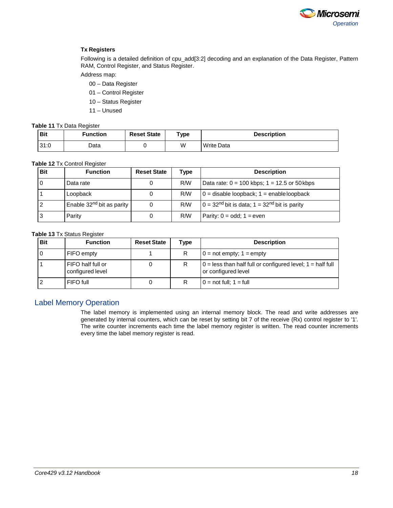

#### **Tx Registers**

Following is a detailed definition of cpu\_add[3:2] decoding and an explanation of the Data Register, Pattern RAM, Control Register, and Status Register.

Address map:

- 00 Data Register
- 01 Control Register
- 10 Status Register
- 11 Unused

#### **Table 11** Tx Data Register

| <b>Bit</b> | <b>Function</b> | <b>Reset State</b> | $T$ ype | <b>Description</b> |
|------------|-----------------|--------------------|---------|--------------------|
| 31:0       | Data            |                    | W       | Write Data         |

#### <span id="page-17-0"></span>**Table 12** Tx Control Register

| Bit | <b>Function</b>                       | <b>Reset State</b> | Type | <b>Description</b>                                         |
|-----|---------------------------------------|--------------------|------|------------------------------------------------------------|
|     | Data rate                             | 0                  | R/M  | Data rate: $0 = 100$ kbps; $1 = 12.5$ or 50 kbps           |
|     | Loopback                              | 0                  | R/W  | $0 =$ disable loopback; $1 =$ enable loopback              |
|     | Enable 32 <sup>nd</sup> bit as parity | 0                  | R/W  | $0 = 32nd$ bit is data; 1 = 32 <sup>nd</sup> bit is parity |
| 3   | Parity                                | 0                  | R/W  | Parity: $0 = odd$ ; 1 = even                               |

#### <span id="page-17-2"></span><span id="page-17-1"></span>**Table 13** Tx Status Register

| <b>Bit</b> | <b>Function</b>                       | <b>Reset State</b> | Type | <b>Description</b>                                                                    |
|------------|---------------------------------------|--------------------|------|---------------------------------------------------------------------------------------|
|            | FIFO empty                            |                    | D    | $0 = not empty$ ; $1 = empty$                                                         |
|            | FIFO half full or<br>configured level |                    |      | $0 =$ less than half full or configured level; $1 =$ half full<br>or configured level |
|            | FIFO full                             |                    |      | $0 = not full$ ; $1 = full$                                                           |

#### Label Memory Operation

The label memory is implemented using an internal memory block. The read and write addresses are generated by internal counters, which can be reset by setting bit 7 of the receive (Rx) control register to '1'. The write counter increments each time the label memory register is written. The read counter increments every time the label memory register is read.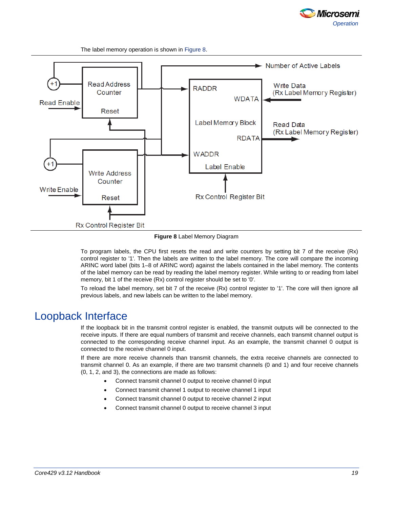

The label memory operation is shown in Figure 8.



#### **Figure 8** Label Memory Diagram

To program labels, the CPU first resets the read and write counters by setting bit 7 of the receive (Rx) control register to '1'. Then the labels are written to the label memory. The core will compare the incoming ARINC word label (bits 1–8 of ARINC word) against the labels contained in the label memory. The contents of the label memory can be read by reading the label memory register. While writing to or reading from label memory, bit 1 of the receive (Rx) control register should be set to '0'.

To reload the label memory, set bit 7 of the receive (Rx) control register to '1'. The core will then ignore all previous labels, and new labels can be written to the label memory.

### <span id="page-18-0"></span>Loopback Interface

If the loopback bit in the transmit control register is enabled, the transmit outputs will be connected to the receive inputs. If there are equal numbers of transmit and receive channels, each transmit channel output is connected to the corresponding receive channel input. As an example, the transmit channel 0 output is connected to the receive channel 0 input.

If there are more receive channels than transmit channels, the extra receive channels are connected to transmit channel 0. As an example, if there are two transmit channels (0 and 1) and four receive channels (0, 1, 2, and 3), the connections are made as follows:

- Connect transmit channel 0 output to receive channel 0 input
- Connect transmit channel 1 output to receive channel 1 input
- Connect transmit channel 0 output to receive channel 2 input
- Connect transmit channel 0 output to receive channel 3 input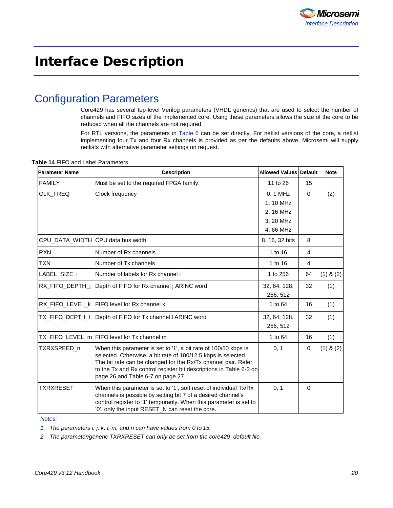# <span id="page-19-0"></span>Interface Description

## <span id="page-19-1"></span>Configuration Parameters

Core429 has several top-level Verilog parameters (VHDL generics) that are used to select the number of channels and FIFO sizes of the implemented core. Using these parameters allows the size of the core to be reduced when all the channels are not required.

<span id="page-19-2"></span>For RTL versions, the parameters in Table 6 can be set directly. For netlist versions of the core, a netlist implementing four Tx and four Rx channels is provided as per the defaults above. Microsemi will supply netlists with alternative parameter settings on request.

| <b>Parameter Name</b>             | <b>Description</b>                                                                                                                                                                                                                                                                                           | <b>Allowed Values Default</b>    |                | <b>Note</b>   |
|-----------------------------------|--------------------------------------------------------------------------------------------------------------------------------------------------------------------------------------------------------------------------------------------------------------------------------------------------------------|----------------------------------|----------------|---------------|
| <b>FAMILY</b>                     | Must be set to the required FPGA family.                                                                                                                                                                                                                                                                     | 11 to 26                         | 15             |               |
| CLK_FREQ                          | Clock frequency                                                                                                                                                                                                                                                                                              | $0:1$ MHz<br>$1:10$ MHz          | $\mathbf{0}$   | (2)           |
|                                   |                                                                                                                                                                                                                                                                                                              | 2:16 MHz<br>3:20 MHz<br>4:66 MHz |                |               |
| CPU_DATA_WIDTH CPU data bus width |                                                                                                                                                                                                                                                                                                              | 8, 16, 32 bits                   | 8              |               |
| <b>RXN</b>                        | Number of Rx channels                                                                                                                                                                                                                                                                                        | 1 to 16                          | $\overline{4}$ |               |
| <b>TXN</b>                        | Number of Tx channels                                                                                                                                                                                                                                                                                        | 1 to 16                          | 4              |               |
| LABEL_SIZE_i                      | Number of labels for Rx channel i                                                                                                                                                                                                                                                                            | 1 to 256                         | 64             | $(1)$ & $(2)$ |
| RX_FIFO_DEPTH_j                   | Depth of FIFO for Rx channel j ARINC word                                                                                                                                                                                                                                                                    | 32, 64, 128,<br>256, 512         | 32             | (1)           |
|                                   | RX_FIFO_LEVEL_k   FIFO level for Rx channel k                                                                                                                                                                                                                                                                | 1 to 64                          | 16             | (1)           |
| tx_fifo_depth_i                   | Depth of FIFO for Tx channel I ARINC word                                                                                                                                                                                                                                                                    | 32, 64, 128,<br>256, 512         | 32             | (1)           |
|                                   | TX_FIFO_LEVEL_m  FIFO level for Tx channel m                                                                                                                                                                                                                                                                 | 1 to 64                          | 16             | (1)           |
| TXRXSPEED_n                       | When this parameter is set to '1', a bit rate of 100/50 kbps is<br>selected. Otherwise, a bit rate of 100/12.5 kbps is selected.<br>The bit rate can be changed for the Rx/Tx channel pair. Refer<br>to the Tx and Rx control register bit descriptions in Table 6-3 on<br>page 26 and Table 6-7 on page 27. | 0, 1                             | 0              | $(1)$ & $(2)$ |
| TXRXRESET                         | When this parameter is set to '1', soft reset of individual Tx/Rx<br>channels is possible by setting bit 7 of a desired channel's<br>control register to '1' temporarily. When this parameter is set to<br>'0', only the input RESET_N can reset the core.                                                   | 0, 1                             | $\Omega$       |               |

#### **Table 14** FIFO and Label Parameters

*Notes:*

*1. The parameters i, j, k, l, m, and n can have values from 0 to 15.*

*2. The parameter/generic TXRXRESET can only be set from the core429\_default file.*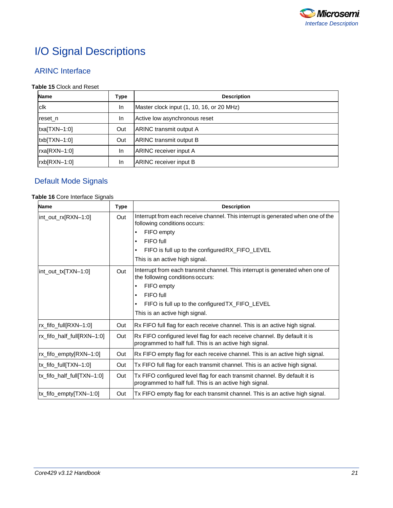

# <span id="page-20-0"></span>I/O Signal Descriptions

### ARINC Interface

#### **Table 15** Clock and Reset

| Name            | Type      | <b>Description</b>                        |
|-----------------|-----------|-------------------------------------------|
| clk             | In        | Master clock input (1, 10, 16, or 20 MHz) |
| reset n         | <b>In</b> | Active low asynchronous reset             |
| $txa$ [TXN-1:0] | Out       | ARINC transmit output A                   |
| $txb$ [TXN-1:0] | Out       | ARINC transmit output B                   |
| rxa[RXN-1:0]    | In        | <b>ARINC</b> receiver input A             |
| rxb[RXN-1:0]    | In        | <b>ARINC</b> receiver input B             |

### Default Mode Signals

#### **Table 16** Core Interface Signals

| <b>Name</b>                | <b>Type</b> | <b>Description</b>                                                                                                                   |
|----------------------------|-------------|--------------------------------------------------------------------------------------------------------------------------------------|
| int_out_rx[RXN-1:0]        | Out         | Interrupt from each receive channel. This interrupt is generated when one of the<br>following conditions occurs:                     |
|                            |             | FIFO empty                                                                                                                           |
|                            |             | FIFO full<br>$\bullet$                                                                                                               |
|                            |             | FIFO is full up to the configured RX_FIFO_LEVEL<br>$\bullet$                                                                         |
|                            |             | This is an active high signal.                                                                                                       |
| int_out_tx[TXN-1:0]        | Out         | Interrupt from each transmit channel. This interrupt is generated when one of<br>the following conditions occurs:                    |
|                            |             | FIFO empty<br>$\bullet$                                                                                                              |
|                            |             | FIFO full<br>$\bullet$                                                                                                               |
|                            |             | FIFO is full up to the configured TX_FIFO_LEVEL<br>$\bullet$                                                                         |
|                            |             | This is an active high signal.                                                                                                       |
| rx_fifo_full[RXN-1:0]      | Out         | Rx FIFO full flag for each receive channel. This is an active high signal.                                                           |
| rx_fifo_half_full[RXN-1:0] | Out         | Rx FIFO configured level flag for each receive channel. By default it is<br>programmed to half full. This is an active high signal.  |
| rx_fifo_empty[RXN-1:0]     | Out         | Rx FIFO empty flag for each receive channel. This is an active high signal.                                                          |
| tx_fifo_full[TXN-1:0]      | Out         | Tx FIFO full flag for each transmit channel. This is an active high signal.                                                          |
| tx_fifo_half_full[TXN-1:0] | Out         | Tx FIFO configured level flag for each transmit channel. By default it is<br>programmed to half full. This is an active high signal. |
| tx_fifo_empty[TXN-1:0]     | Out         | Tx FIFO empty flag for each transmit channel. This is an active high signal.                                                         |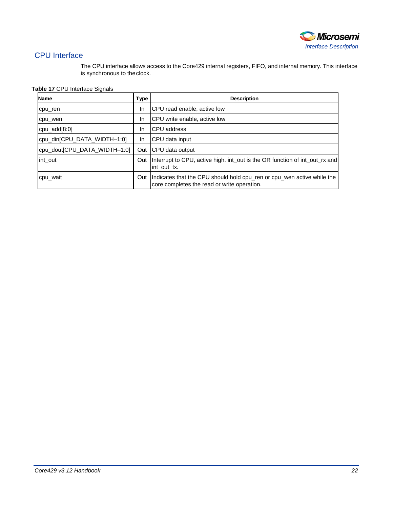

### CPU Interface

The CPU interface allows access to the Core429 internal registers, FIFO, and internal memory. This interface is synchronous to theclock.

#### **Table 17** CPU Interface Signals

| <b>Name</b>                  | <b>Type</b> | <b>Description</b>                                                                                                    |
|------------------------------|-------------|-----------------------------------------------------------------------------------------------------------------------|
| cpu ren                      | In          | CPU read enable, active low                                                                                           |
| cpu wen                      | In          | CPU write enable, active low                                                                                          |
| cpu $add[8:0]$               | In          | <b>CPU</b> address                                                                                                    |
| cpu_din[CPU_DATA_WIDTH-1:0]  | In          | CPU data input                                                                                                        |
| cpu dout CPU DATA WIDTH-1:0] | Out         | CPU data output                                                                                                       |
| int out                      | Out         | Interrupt to CPU, active high. int_out is the OR function of int_out_rx and<br>int out tx.                            |
| cpu_wait                     | Out         | Indicates that the CPU should hold cpu_ren or cpu_wen active while the<br>core completes the read or write operation. |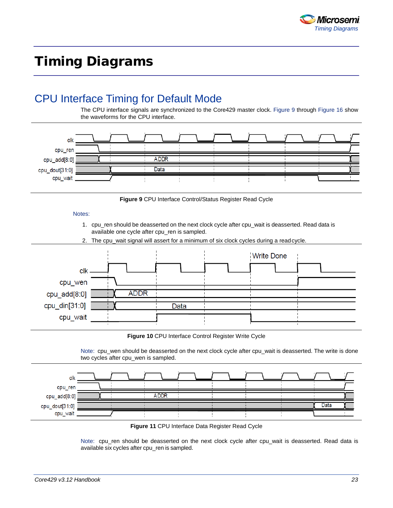

# <span id="page-22-0"></span>Timing Diagrams

## <span id="page-22-1"></span>CPU Interface Timing for Default Mode

The CPU interface signals are synchronized to the Core429 master clock. Figure 9 through Figure 16 show the waveforms for the CPU interface.



**Figure 9** CPU Interface Control/Status Register Read Cycle

#### Notes:

- 1. cpu\_ren should be deasserted on the next clock cycle after cpu\_wait is deasserted. Read data is available one cycle after cpu\_ren is sampled.
- 2. The cpu wait signal will assert for a minimum of six clock cycles during a readcycle.



**Figure 10** CPU Interface Control Register Write Cycle

Note: cpu\_wen should be deasserted on the next clock cycle after cpu\_wait is deasserted. The write is done two cycles after cpu\_wen is sampled.



**Figure 11** CPU Interface Data Register Read Cycle

Note: cpu\_ren should be deasserted on the next clock cycle after cpu\_wait is deasserted. Read data is available six cycles after cpu\_ren is sampled.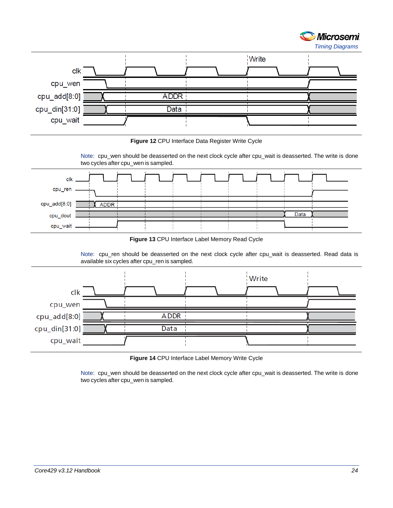



**Figure 12** CPU Interface Data Register Write Cycle



**Figure 13** CPU Interface Label Memory Read Cycle

Note: cpu\_ren should be deasserted on the next clock cycle after cpu\_wait is deasserted. Read data is available six cycles after cpu\_ren is sampled.



**Figure 14** CPU Interface Label Memory Write Cycle

Note: cpu\_wen should be deasserted on the next clock cycle after cpu\_wait is deasserted. The write is done two cycles after cpu\_wen is sampled.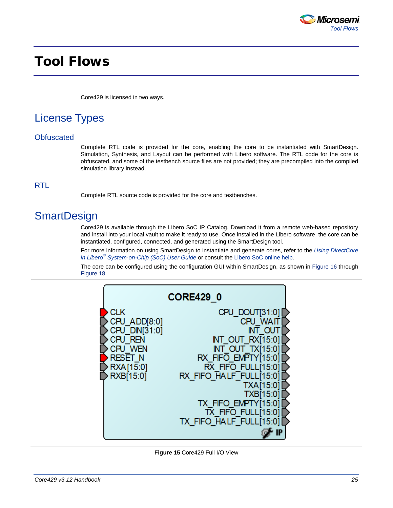

## <span id="page-24-0"></span>Tool Flows

Core429 is licensed in two ways.

## <span id="page-24-1"></span>License Types

#### **Obfuscated**

Complete RTL code is provided for the core, enabling the core to be instantiated with SmartDesign. Simulation, Synthesis, and Layout can be performed with Libero software. The RTL code for the core is obfuscated, and some of the testbench source files are not provided; they are precompiled into the compiled simulation library instead.

### RTL

Complete RTL source code is provided for the core and testbenches.

## <span id="page-24-2"></span>**SmartDesign**

Core429 is available through the Libero SoC IP Catalog. Download it from a remote web-based repository and install into your local vault to make it ready to use. Once installed in the Libero software, the core can be instantiated, configured, connected, and generated using the SmartDesign tool.

For more information on using SmartDesign to instantiate and generate cores, refer to the *[Using DirectCore](http://www.microsemi.com/soc/documents/directcore_in_libero_tutorial_ug.pdf)  in Libero® [System-on-Chip \(SoC\) User Guide](http://www.microsemi.com/soc/documents/directcore_in_libero_tutorial_ug.pdf)* or consult the [Libero SoC online](http://www.microsemi.com/index.php?option=com_docman&task=doc_download&gid=132044) help.

The core can be configured using the configuration GUI within SmartDesign, as shown in Figure 16 through Figure 18.



**Figure 15** Core429 Full I/O View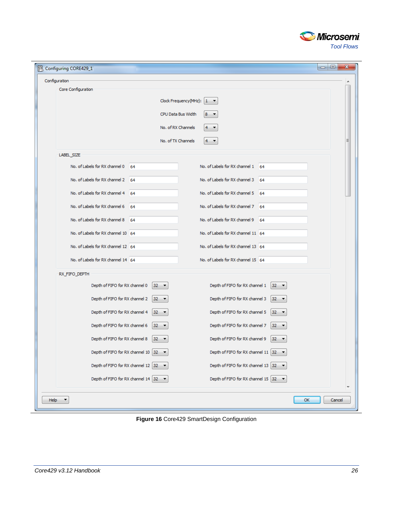

| Configuring CORE429_1              |                                                                            |                                                                   |  |
|------------------------------------|----------------------------------------------------------------------------|-------------------------------------------------------------------|--|
| Configuration                      |                                                                            |                                                                   |  |
| Core Configuration                 |                                                                            |                                                                   |  |
|                                    |                                                                            | Clock Frequency (MHz): $1 - \bullet$                              |  |
|                                    |                                                                            | CPU Data Bus Width<br>8<br>$\overline{\phantom{a}}$               |  |
|                                    |                                                                            | No. of RX Channels<br>4                                           |  |
|                                    |                                                                            | No. of TX Channels<br>$4 - 7$                                     |  |
| LABEL_SIZE                         |                                                                            |                                                                   |  |
| No. of Labels for RX channel 0     | 64                                                                         | No. of Labels for RX channel 1 64                                 |  |
| No. of Labels for RX channel 2     | 64                                                                         | No. of Labels for RX channel 3<br>64                              |  |
| No. of Labels for RX channel 4     | 64                                                                         | No. of Labels for RX channel 5<br>- 64                            |  |
| No. of Labels for RX channel 6     | 64                                                                         | No. of Labels for RX channel 7<br>64                              |  |
| No. of Labels for RX channel 8     | 64                                                                         | No. of Labels for RX channel 9<br>64                              |  |
| No. of Labels for RX channel 10 64 |                                                                            | No. of Labels for RX channel 11 64                                |  |
| No. of Labels for RX channel 12 64 |                                                                            | No. of Labels for RX channel 13 64                                |  |
| No. of Labels for RX channel 14 64 |                                                                            | No. of Labels for RX channel 15 64                                |  |
| RX_FIFO_DEPTH                      |                                                                            |                                                                   |  |
| Depth of FIFO for RX channel 0     | $32 - 7$                                                                   | Depth of FIFO for RX channel 1<br>$32 -$                          |  |
| Depth of FIFO for RX channel 2     | $32 -$                                                                     | Depth of FIFO for RX channel 3<br>$32 -$                          |  |
| Depth of FIFO for RX channel 4     | $32 -$                                                                     | Depth of FIFO for RX channel 5<br>$32 -$                          |  |
| Depth of FIFO for RX channel 6     | 32<br>$\overline{\phantom{a}}$                                             | Depth of FIFO for RX channel 7<br>32<br>$\overline{\phantom{a}}$  |  |
| Depth of FIFO for RX channel 8     | 32<br>$\overline{\phantom{a}}$                                             | Depth of FIFO for RX channel 9<br>32<br>$\overline{\phantom{a}}$  |  |
| Depth of FIFO for RX channel 10 32 |                                                                            | Depth of FIFO for RX channel 11 $\sqrt{32}$ $\blacktriangleright$ |  |
|                                    | Depth of FIFO for RX channel 12 $\sqrt{32}$ $\rightarrow$                  | Depth of FIFO for RX channel 13 $\sqrt{32}$ $\rightarrow$         |  |
|                                    | Depth of FIFO for RX channel 14 $\begin{bmatrix} 32 & \star \end{bmatrix}$ | Depth of FIFO for RX channel 15 $\sqrt{32}$ $\blacktriangleright$ |  |
|                                    |                                                                            |                                                                   |  |

**Figure 16** Core429 SmartDesign Configuration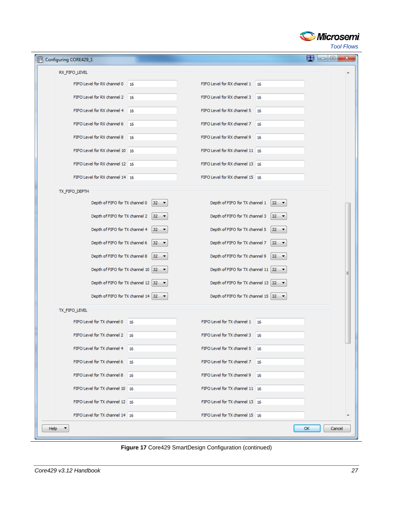

*Tool Flows*

| Configuring CORE429_1           |                                                          |                                                          |        | 田<br>$\mathbf{x}$<br>$\Box$ e |  |
|---------------------------------|----------------------------------------------------------|----------------------------------------------------------|--------|-------------------------------|--|
| RX_FIFO_LEVEL                   |                                                          |                                                          |        |                               |  |
| FIFO Level for RX channel 0     | 16                                                       | FIFO Level for RX channel 1 16                           |        |                               |  |
| FIFO Level for RX channel 2 16  |                                                          | FIFO Level for RX channel 3 16                           |        |                               |  |
| FIFO Level for RX channel 4     | 16                                                       | FIFO Level for RX channel 5                              | 16     |                               |  |
| FIFO Level for RX channel 6 16  |                                                          | FIFO Level for RX channel 7 16                           |        |                               |  |
| FIFO Level for RX channel 8 16  |                                                          | FIFO Level for RX channel 9 16                           |        |                               |  |
| FIFO Level for RX channel 10 16 |                                                          | FIFO Level for RX channel 11 16                          |        |                               |  |
| FIFO Level for RX channel 12 16 |                                                          | FIFO Level for RX channel 13 16                          |        |                               |  |
| FIFO Level for RX channel 14 16 |                                                          | FIFO Level for RX channel 15 16                          |        |                               |  |
| TX_FIFO_DEPTH                   |                                                          |                                                          |        |                               |  |
| Depth of FIFO for TX channel 0  | $32 -$                                                   | Depth of FIFO for TX channel 1                           | $32 -$ |                               |  |
| Depth of FIFO for TX channel 2  | $32 -$                                                   | Depth of FIFO for TX channel 3                           | $32 -$ |                               |  |
| Depth of FIFO for TX channel 4  | $32 -$                                                   | Depth of FIFO for TX channel 5                           | $32 -$ |                               |  |
| Depth of FIFO for TX channel 6  | $32 -$                                                   | Depth of FIFO for TX channel 7                           | $32 -$ |                               |  |
| Depth of FIFO for TX channel 8  | $32 -$                                                   | Depth of FIFO for TX channel 9                           | $32 -$ |                               |  |
|                                 | Depth of FIFO for TX channel 10 $ 32 - \bullet $         | Depth of FIFO for TX channel 11 32 $\blacktriangledown$  |        |                               |  |
|                                 | Depth of FIFO for TX channel 12 32 $\blacktriangleright$ | Depth of FIFO for TX channel 13 32 $\blacktriangledown$  |        |                               |  |
|                                 | Depth of FIFO for TX channel 14 32 $\blacktriangledown$  | Depth of FIFO for TX channel 15 32 $\blacktriangleright$ |        |                               |  |
| TX_FIFO_LEVEL                   |                                                          |                                                          |        |                               |  |
| FIFO Level for TX channel 0     | 16                                                       | FIFO Level for TX channel 1 16                           |        |                               |  |
| FIFO Level for TX channel 2     | 16                                                       | FIFO Level for TX channel 3                              | 16     |                               |  |
| FIFO Level for TX channel 4 16  |                                                          | FIFO Level for TX channel 5 16                           |        |                               |  |
| FIFO Level for TX channel 6 16  |                                                          | FIFO Level for TX channel 7 16                           |        |                               |  |
| FIFO Level for TX channel 8 16  |                                                          | FIFO Level for TX channel 9 16                           |        |                               |  |
| FIFO Level for TX channel 10 16 |                                                          | FIFO Level for TX channel 11 16                          |        |                               |  |
| FIFO Level for TX channel 12 16 |                                                          | FIFO Level for TX channel 13 16                          |        |                               |  |
| FIFO Level for TX channel 14 16 |                                                          | FIFO Level for TX channel 15 16                          |        |                               |  |
| Help $\blacktriangledown$       |                                                          |                                                          |        | OK<br>Cancel                  |  |

**Figure 17** Core429 SmartDesign Configuration (continued)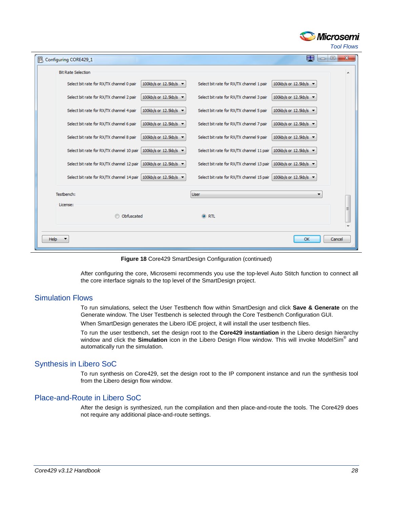

*Tool Flows*

| 恩<br>Configuring CORE429_1                |                                          |                                                               | 壨<br>$\blacksquare$                      | $\mathbf{x}$<br>o |  |
|-------------------------------------------|------------------------------------------|---------------------------------------------------------------|------------------------------------------|-------------------|--|
| <b>Bit Rate Selection</b>                 |                                          |                                                               |                                          |                   |  |
| Select bit rate for RX/TX channel 0 pair  | 100kb/s or 12.5kb/s $\blacktriangledown$ | Select bit rate for RX/TX channel 1 pair                      | 100kb/s or 12.5kb/s -                    |                   |  |
| Select bit rate for RX/TX channel 2 pair  | 100kb/s or 12.5kb/s $\star$              | Select bit rate for RX/TX channel 3 pair                      | 100kb/s or 12.5kb/s                      |                   |  |
| Select bit rate for RX/TX channel 4 pair  | 100kb/s or 12.5kb/s $\blacktriangledown$ | Select bit rate for RX/TX channel 5 pair                      | 100kb/s or 12.5kb/s ▼                    |                   |  |
| Select bit rate for RX/TX channel 6 pair  | 100kb/s or 12.5kb/s ▼                    | Select bit rate for RX/TX channel 7 pair                      | 100kb/s or 12.5kb/s ▼                    |                   |  |
| Select bit rate for RX/TX channel 8 pair  | 100kb/s or 12.5kb/s ▼                    | Select bit rate for RX/TX channel 9 pair                      | 100kb/s or 12.5kb/s $\blacktriangledown$ |                   |  |
| Select bit rate for RX/TX channel 10 pair | 100kb/s or 12.5kb/s $\blacktriangledown$ | Select bit rate for RX/TX channel 11 pair                     | 100kb/s or 12.5kb/s                      |                   |  |
| Select bit rate for RX/TX channel 12 pair | 100kb/s or 12.5kb/s $\blacktriangledown$ | Select bit rate for RX/TX channel 13 pair                     | 100kb/s or 12.5kb/s $\blacktriangledown$ |                   |  |
| Select bit rate for RX/TX channel 14 pair | 100kb/s or 12.5kb/s $\blacktriangledown$ | Select bit rate for RX/TX channel 15 pair 100kb/s or 12.5kb/s |                                          |                   |  |
| Testbench:                                |                                          | <b>User</b>                                                   |                                          |                   |  |
| License:                                  |                                          |                                                               |                                          | Ξ                 |  |
| Obfuscated                                |                                          | ORTL                                                          |                                          |                   |  |
|                                           |                                          |                                                               |                                          |                   |  |
| OK<br>Help<br>Cancel                      |                                          |                                                               |                                          |                   |  |

**Figure 18** Core429 SmartDesign Configuration (continued)

After configuring the core, Microsemi recommends you use the top-level Auto Stitch function to connect all the core interface signals to the top level of the SmartDesign project.

#### Simulation Flows

To run simulations, select the User Testbench flow within SmartDesign and click **Save & Generate** on the Generate window. The User Testbench is selected through the Core Testbench Configuration GUI.

When SmartDesign generates the Libero IDE project, it will install the user testbench files.

To run the user testbench, set the design root to the **Core429 instantiation** in the Libero design hierarchy window and click the **Simulation** icon in the Libero Design Flow window. This will invoke ModelSim® and automatically run the simulation.

#### Synthesis in Libero SoC

To run synthesis on Core429, set the design root to the IP component instance and run the synthesis tool from the Libero design flow window.

#### Place-and-Route in Libero SoC

After the design is synthesized, run the compilation and then place-and-route the tools. The Core429 does not require any additional place-and-route settings.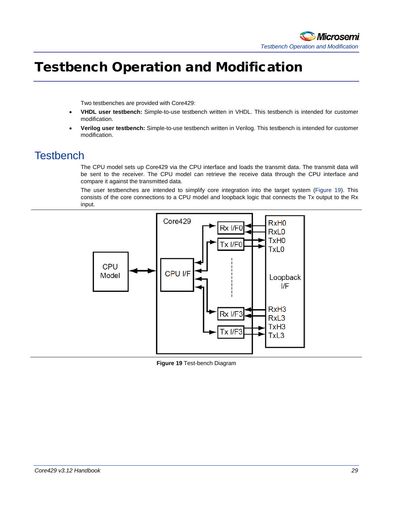

# <span id="page-28-0"></span>Testbench Operation and Modification

Two testbenches are provided with Core429:

- **VHDL user testbench:** Simple-to-use testbench written in VHDL. This testbench is intended for customer modification.
- **Verilog user testbench:** Simple-to-use testbench written in Verilog. This testbench is intended for customer modification.

### <span id="page-28-1"></span>**Testbench**

The CPU model sets up Core429 via the CPU interface and loads the transmit data. The transmit data will be sent to the receiver. The CPU model can retrieve the receive data through the CPU interface and compare it against the transmitted data.

The user testbenches are intended to simplify core integration into the target system (Figure 19). This consists of the core connections to a CPU model and loopback logic that connects the Tx output to the Rx input.



**Figure 19** Test-bench Diagram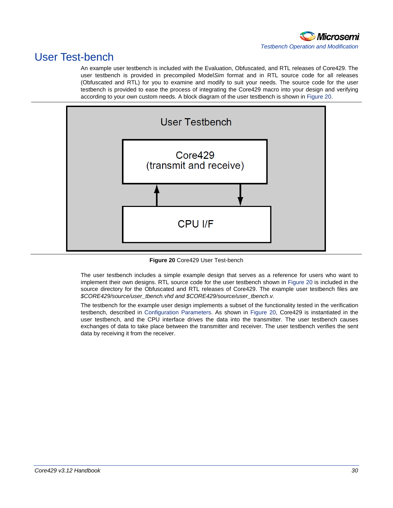

## <span id="page-29-0"></span>User Test-bench

An example user testbench is included with the Evaluation, Obfuscated, and RTL releases of Core429. The user testbench is provided in precompiled Model*Sim* format and in RTL source code for all releases (Obfuscated and RTL) for you to examine and modify to suit your needs. The source code for the user testbench is provided to ease the process of integrating the Core429 macro into your design and verifying according to your own custom needs. A block diagram of the user testbench is shown in [Figure 20.](#page-29-1)



**Figure 20** Core429 User Test-bench

<span id="page-29-1"></span>The user testbench includes a simple example design that serves as a reference for users who want to implement their own designs. RTL source code for the user testbench shown in [Figure 20](#page-29-1) is included in the source directory for the Obfuscated and RTL releases of Core429. The example user testbench files are *\$CORE429/source/user\_tbench.vhd and \$CORE429/source/user\_tbench.v.*

The testbench for the example user design implements a subset of the functionality tested in the verification testbench, described in Configuration Parameters. As shown in [Figure 20,](#page-29-1) Core429 is instantiated in the user testbench, and the CPU interface drives the data into the transmitter. The user testbench causes exchanges of data to take place between the transmitter and receiver. The user testbench verifies the sent data by receiving it from the receiver.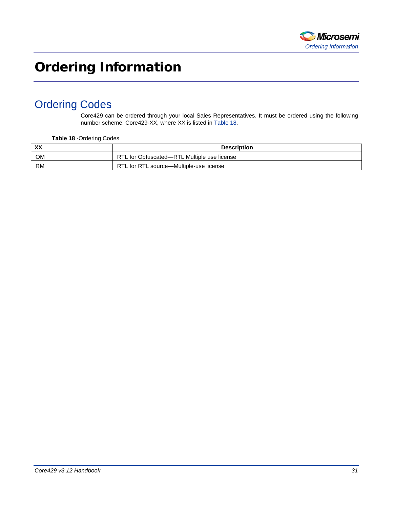

# <span id="page-30-0"></span>Ordering Information

## <span id="page-30-1"></span>Ordering Codes

Core429 can be ordered through your local Sales Representatives. It must be ordered using the following number scheme: Core429-XX, where XX is listed in Table 18.

**Table 18** ·Ordering Codes

| XX        | <b>Description</b>                          |
|-----------|---------------------------------------------|
| <b>OM</b> | RTL for Obfuscated—RTL Multiple use license |
| RM        | RTL for RTL source---Multiple-use license   |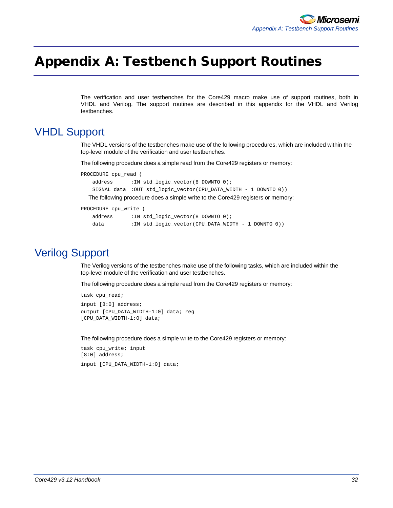# <span id="page-31-0"></span>Appendix A: Testbench Support Routines

The verification and user testbenches for the Core429 macro make use of support routines, both in VHDL and Verilog. The support routines are described in this appendix for the VHDL and Verilog testbenches.

### <span id="page-31-1"></span>VHDL Support

The VHDL versions of the testbenches make use of the following procedures, which are included within the top-level module of the verification and user testbenches.

The following procedure does a simple read from the Core429 registers or memory:

```
PROCEDURE cpu_read (
   address :IN std_logic_vector(8 DOWNTO 0);
   SIGNAL data :OUT std_logic_vector(CPU_DATA_WIDTH - 1 DOWNTO 0))
```
The following procedure does a simple write to the Core429 registers or memory:

```
PROCEDURE cpu_write (
   address :IN std_logic_vector(8 DOWNTO 0);
   data :IN std_logic_vector(CPU_DATA_WIDTH - 1 DOWNTO 0))
```
### <span id="page-31-2"></span>Verilog Support

The Verilog versions of the testbenches make use of the following tasks, which are included within the top-level module of the verification and user testbenches.

The following procedure does a simple read from the Core429 registers or memory:

```
task cpu_read;
input [8:0] address;
output [CPU_DATA_WIDTH-1:0] data; reg 
[CPU_DATA_WIDTH-1:0] data;
```
The following procedure does a simple write to the Core429 registers or memory:

```
task cpu_write; input 
[8:0] address;
input [CPU_DATA_WIDTH-1:0] data;
```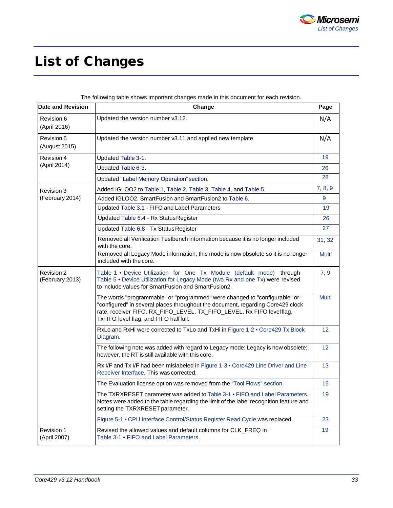

# <span id="page-32-0"></span>List of Changes

| Date and Revision             | Change                                                                                                                                                                                                                                                                           | Page         |
|-------------------------------|----------------------------------------------------------------------------------------------------------------------------------------------------------------------------------------------------------------------------------------------------------------------------------|--------------|
| Revision 6<br>(April 2016)    | Updated the version number v3.12.                                                                                                                                                                                                                                                | N/A          |
| Revision 5<br>(August 2015)   | Updated the version number v3.11 and applied new template                                                                                                                                                                                                                        | N/A          |
| Revision 4<br>(April 2014)    | Updated Table 3-1.                                                                                                                                                                                                                                                               | 19           |
|                               | Updated Table 6-3.                                                                                                                                                                                                                                                               | 26           |
|                               | Updated "Label Memory Operation" section.                                                                                                                                                                                                                                        | 28           |
| Revision 3<br>(February 2014) | Added IGLOO2 to Table 1, Table 2, Table 3, Table 4, and Table 5.                                                                                                                                                                                                                 | 7, 8, 9      |
|                               | Added IGLOO2, SmartFusion and SmartFusion2 to Table 6.                                                                                                                                                                                                                           | 9            |
|                               | Updated Table 3.1 - FIFO and Label Parameters                                                                                                                                                                                                                                    | 19           |
|                               | Updated Table 6.4 - Rx Status Register                                                                                                                                                                                                                                           | 26           |
|                               | Updated Table 6.8 - Tx Status Register                                                                                                                                                                                                                                           | 27           |
|                               | Removed all Verification Testbench information because it is no longer included<br>with the core.                                                                                                                                                                                | 31, 32       |
|                               | Removed all Legacy Mode information, this mode is now obsolete so it is no longer<br>included with the core.                                                                                                                                                                     | <b>Multi</b> |
| Revision 2<br>(February 2013) | Table 1 . Device Utilization for One Tx Module (default mode) through<br>Table 5 . Device Utilization for Legacy Mode (two Rx and one Tx) were revised<br>to include values for SmartFusion and SmartFusion2.                                                                    | 7, 9         |
|                               | The words "programmable" or "programmed" were changed to "configurable" or<br>"configured" in several places throughout the document, regarding Core429 clock<br>rate, receiver FIFO, RX_FIFO_LEVEL, TX_FIFO_LEVEL, Rx FIFO levelflag,<br>TxFIFO level flag, and FIFO half full. | <b>Multi</b> |
|                               | RxLo and RxHi were corrected to TxLo and TxHi in Figure 1-2 . Core429 Tx Block<br>Diagram.                                                                                                                                                                                       | 12           |
|                               | The following note was added with regard to Legacy mode: Legacy is now obsolete;<br>however, the RT is still available with this core.                                                                                                                                           | 12           |
|                               | Rx I/F and Tx I/F had been mislabeled in Figure 1-3 . Core429 Line Driver and Line<br>Receiver Interface. This was corrected.                                                                                                                                                    | 13           |
|                               | The Evaluation license option was removed from the "Tool Flows" section.                                                                                                                                                                                                         | 15           |
|                               | The TXRXRESET parameter was added to Table 3-1 • FIFO and Label Parameters.<br>Notes were added to the table regarding the limit of the label recognition feature and<br>setting the TXRXRESET parameter.                                                                        | 19           |
|                               | Figure 5-1 • CPU Interface Control/Status Register Read Cycle was replaced.                                                                                                                                                                                                      | 23           |
| Revision 1<br>(April 2007)    | Revised the allowed values and default columns for CLK_FREQ in<br>Table 3-1 • FIFO and Label Parameters.                                                                                                                                                                         | 19           |

The following table shows important changes made in this document for each revision.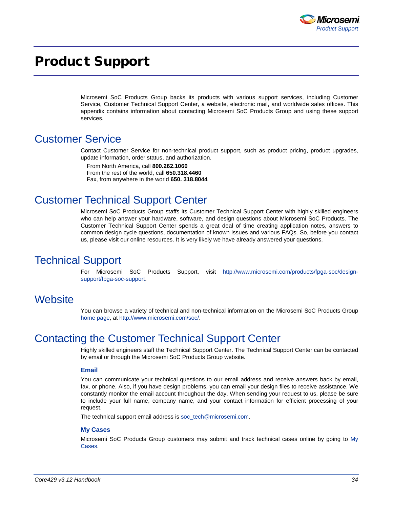

# <span id="page-33-0"></span>Product Support

Microsemi SoC Products Group backs its products with various support services, including Customer Service, Customer Technical Support Center, a website, electronic mail, and worldwide sales offices. This appendix contains information about contacting Microsemi SoC Products Group and using these support services.

### <span id="page-33-1"></span>Customer Service

Contact Customer Service for non-technical product support, such as product pricing, product upgrades, update information, order status, and authorization.

From North America, call **800.262.1060** From the rest of the world, call **650.318.4460** Fax, from anywhere in the world **650. 318.8044**

## <span id="page-33-2"></span>Customer Technical Support Center

Microsemi SoC Products Group staffs its Customer Technical Support Center with highly skilled engineers who can help answer your hardware, software, and design questions about Microsemi SoC Products. The Customer Technical Support Center spends a great deal of time creating application notes, answers to common design cycle questions, documentation of known issues and various FAQs. So, before you contact us, please visit our online resources. It is very likely we have already answered your questions.

## <span id="page-33-3"></span>Technical Support

For Microsemi SoC Products Support, visit [http://www.microsemi.com/products/fpga-soc/design](http://www.microsemi.com/products/fpga-soc/design-support/fpga-soc-support)[support/fpga-soc-support.](http://www.microsemi.com/products/fpga-soc/design-support/fpga-soc-support)

### <span id="page-33-4"></span>**Website**

You can browse a variety of technical and non-technical information on the Microsemi SoC Products Group [home page,](http://www.microsemi.com/soc) at [http://www.microsemi.com/soc/.](http://www.microsemi.com/soc/)

### <span id="page-33-5"></span>Contacting the Customer Technical Support Center

Highly skilled engineers staff the Technical Support Center. The Technical Support Center can be contacted by email or through the Microsemi SoC Products Group website.

#### **Email**

You can communicate your technical questions to our email address and receive answers back by email, fax, or phone. Also, if you have design problems, you can email your design files to receive assistance. We constantly monitor the email account throughout the day. When sending your request to us, please be sure to include your full name, company name, and your contact information for efficient processing of your request.

The technical support email address is soc\_tech@microsemi.com.

#### **My Cases**

Microsemi SoC Products Group customers may submit and track technical cases online by going to [My](http://www.microsemi.com/soc/mycases/)  [Cases.](http://www.microsemi.com/soc/mycases/)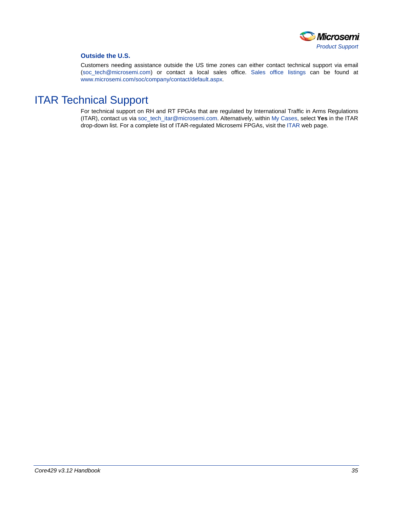

#### **Outside the U.S.**

Customers needing assistance outside the US time zones can either contact technical support via email (soc[\\_tech@microsemi.com\)](mailto:tech@microsemi.com) or contact a local sales office. [Sales office listings](http://www.microsemi.com/soc/company/contact/default.aspx) can be found a[t](http://www.microsemi.com/soc/company/contact/default.aspx) [www.microsemi.com/soc/company/contact/default.aspx.](http://www.microsemi.com/soc/company/contact/default.aspx)

## <span id="page-34-0"></span>[ITAR Technical Support](http://www.microsemi.com/soc/company/contact/default.aspx#itartechsupport)

For technical support on RH and RT FPGAs that are regulated by International Traffic in Arms Regulations (ITAR), contact us via [soc\\_tech\\_itar@microsemi.com.](mailto:soc_tech_itar@microsemi.com) Alternatively, within [My Cases,](http://www.microsemi.com/mycases/) select **Yes** in the ITAR drop-down list. For a complete list of ITAR-regulated Microsemi FPGAs, visit the [ITAR](http://www.microsemi.com/soc/ITAR/) web page.